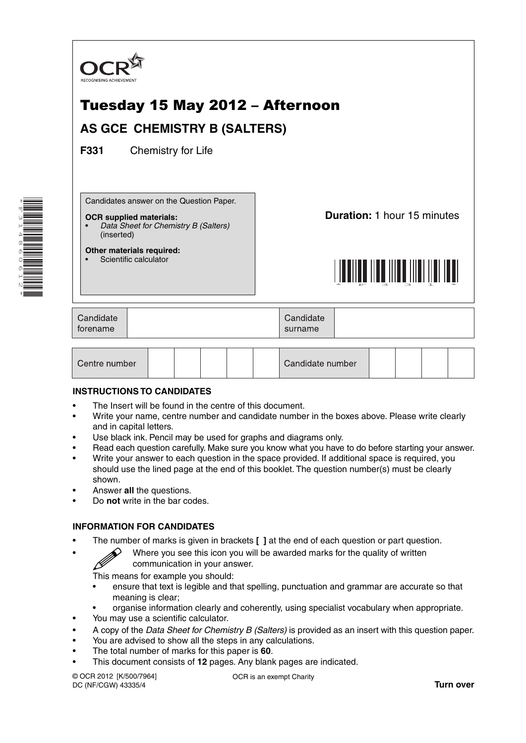

| Candidate number<br>Centre number |
|-----------------------------------|
|-----------------------------------|

## **INSTRUCTIONS TO CANDIDATES**

\*F314860612\*

- The Insert will be found in the centre of this document.
- Write your name, centre number and candidate number in the boxes above. Please write clearly and in capital letters.
- Use black ink. Pencil may be used for graphs and diagrams only.
- Read each question carefully. Make sure you know what you have to do before starting your answer.
- Write your answer to each question in the space provided. If additional space is required, you should use the lined page at the end of this booklet. The question number(s) must be clearly shown.
- Answer **all** the questions.
- Do **not** write in the bar codes.

## **INFORMATION FOR CANDIDATES**

- The number of marks is given in brackets **[ ]** at the end of each question or part question.
	- Where you see this icon you will be awarded marks for the quality of written communication in your answer.

This means for example you should:

- ensure that text is legible and that spelling, punctuation and grammar are accurate so that meaning is clear;
- organise information clearly and coherently, using specialist vocabulary when appropriate.
- You may use a scientific calculator.
- A copy of the *Data Sheet for Chemistry B (Salters)* is provided as an insert with this question paper.
- You are advised to show all the steps in any calculations.
- The total number of marks for this paper is **60**.
- This document consists of **12** pages. Any blank pages are indicated.

© OCR 2012 [K/500/7964] DC (NF/CGW) 43335/4

OCR is an exempt Charity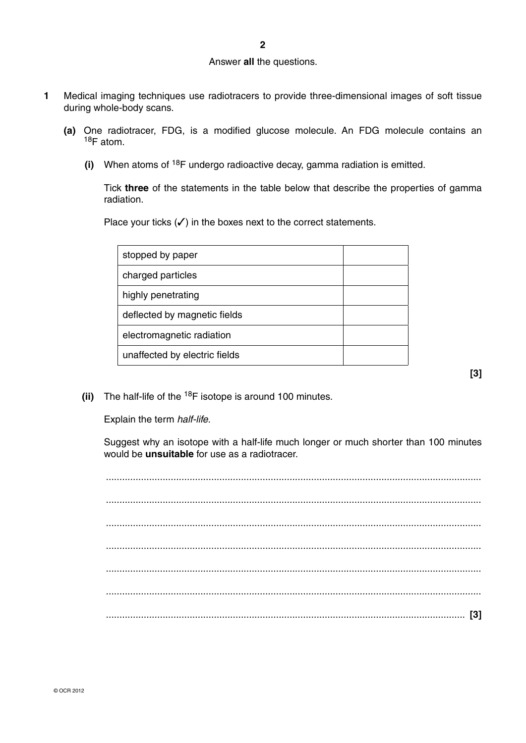## Answer **all** the questions.

- **1** Medical imaging techniques use radiotracers to provide three-dimensional images of soft tissue during whole-body scans.
	- **(a)** One radiotracer, FDG, is a modified glucose molecule. An FDG molecule contains an 18F atom.
		- **(i)** When atoms of 18F undergo radioactive decay, gamma radiation is emitted.

Tick **three** of the statements in the table below that describe the properties of gamma radiation.

Place your ticks  $(\checkmark)$  in the boxes next to the correct statements.

| stopped by paper              |  |
|-------------------------------|--|
| charged particles             |  |
| highly penetrating            |  |
| deflected by magnetic fields  |  |
| electromagnetic radiation     |  |
| unaffected by electric fields |  |
|                               |  |

**(ii)** The half-life of the <sup>18</sup>F isotope is around 100 minutes.

Explain the term *half-life*.

Suggest why an isotope with a half-life much longer or much shorter than 100 minutes would be **unsuitable** for use as a radiotracer.

**[3]**

 ........................................................................................................................................... ........................................................................................................................................... ........................................................................................................................................... ........................................................................................................................................... ........................................................................................................................................... ........................................................................................................................................... ..................................................................................................................................... **[3]**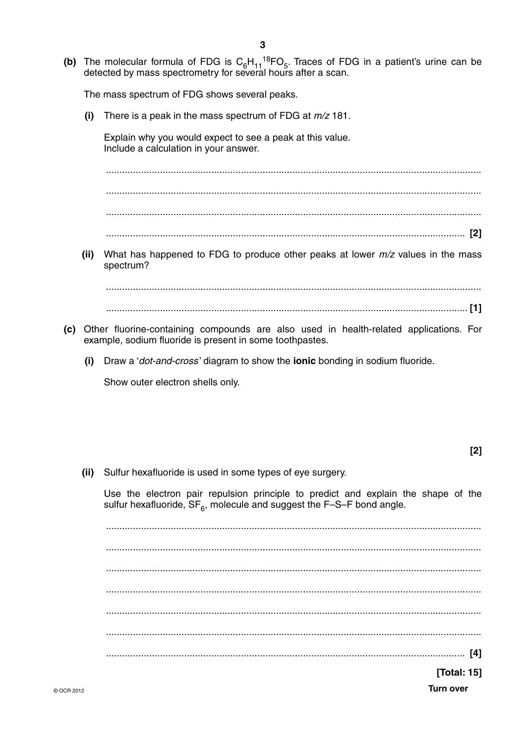(b) The molecular formula of FDG is  $C_6H_{11}^{18}FO_5$ . Traces of FDG in a patient's urine can be detected by mass spectrometry for several hours after a scan.

The mass spectrum of FDG shows several peaks.

There is a peak in the mass spectrum of FDG at  $m/z$  181.  $(i)$ 

Explain why you would expect to see a peak at this value. Include a calculation in your answer.

 $(ii)$ What has happened to FDG to produce other peaks at lower  $m/z$  values in the mass spectrum?

- (c) Other fluorine-containing compounds are also used in health-related applications. For example, sodium fluoride is present in some toothpastes.
	- Draw a 'dot-and-cross' diagram to show the ionic bonding in sodium fluoride.  $(i)$

Show outer electron shells only.

(ii) Sulfur hexafluoride is used in some types of eye surgery.

Use the electron pair repulsion principle to predict and explain the shape of the sulfur hexafluoride,  $SF_{6}$ , molecule and suggest the F-S-F bond angle.

[Total: 15]

**Turn over**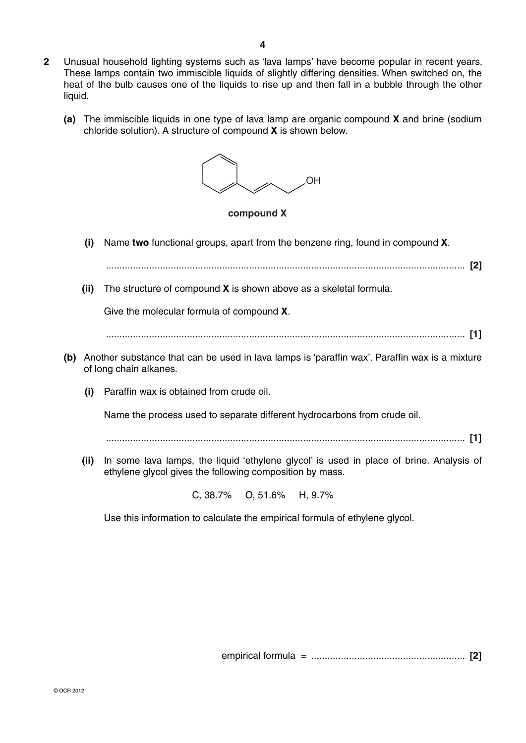**2** Unusual household lighting systems such as 'lava lamps' have become popular in recent years. These lamps contain two immiscible liquids of slightly differing densities. When switched on, the heat of the bulb causes one of the liquids to rise up and then fall in a bubble through the other liquid.

**4**

 **(a)** The immiscible liquids in one type of lava lamp are organic compound **X** and brine (sodium chloride solution). A structure of compound **X** is shown below.



Use this information to calculate the empirical formula of ethylene glycol.

empirical formula = ......................................................... **[2]**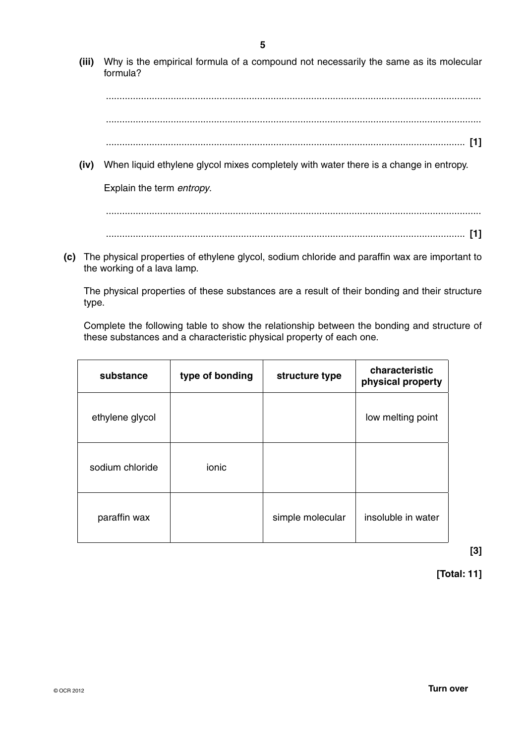**(iii)** Why is the empirical formula of a compound not necessarily the same as its molecular formula?

 ........................................................................................................................................... ...........................................................................................................................................

- ..................................................................................................................................... **[1]**
- **(iv)** When liquid ethylene glycol mixes completely with water there is a change in entropy.

Explain the term *entropy*.

 ........................................................................................................................................... ..................................................................................................................................... **[1]**

 **(c)** The physical properties of ethylene glycol, sodium chloride and paraffin wax are important to the working of a lava lamp.

The physical properties of these substances are a result of their bonding and their structure type.

Complete the following table to show the relationship between the bonding and structure of these substances and a characteristic physical property of each one.

| substance       | type of bonding | structure type   | characteristic<br>physical property |
|-----------------|-----------------|------------------|-------------------------------------|
| ethylene glycol |                 |                  | low melting point                   |
| sodium chloride | ionic           |                  |                                     |
| paraffin wax    |                 | simple molecular | insoluble in water                  |

**[3]**

**[Total: 11]**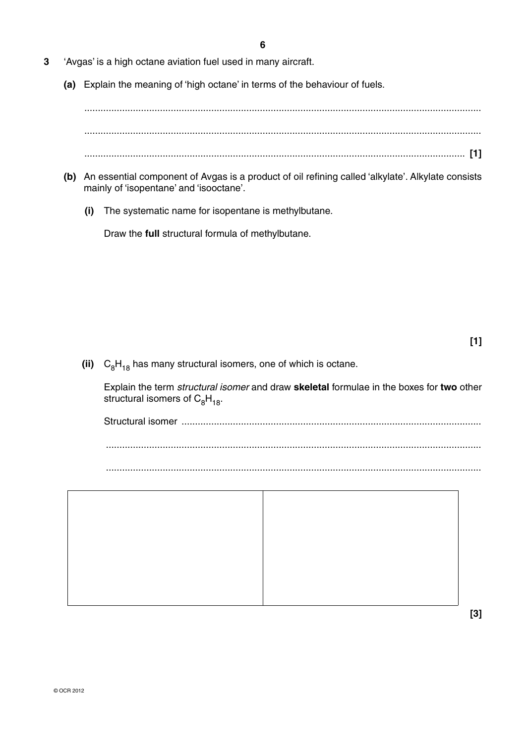- **3** 'Avgas' is a high octane aviation fuel used in many aircraft.
	- **(a)** Explain the meaning of 'high octane' in terms of the behaviour of fuels.

 ................................................................................................................................................... ................................................................................................................................................... ............................................................................................................................................. **[1]**

- **(b)** An essential component of Avgas is a product of oil refining called 'alkylate'. Alkylate consists mainly of 'isopentane' and 'isooctane'.
	- **(i)** The systematic name for isopentane is methylbutane.

Draw the **full** structural formula of methylbutane.

 $\left(i\right)$   $C_8H_{18}$  has many structural isomers, one of which is octane.

Explain the term *structural isomer* and draw **skeletal** formulae in the boxes for **two** other structural isomers of  $C_8H_{18}$ .

Structural isomer ...............................................................................................................

...........................................................................................................................................





**[3]**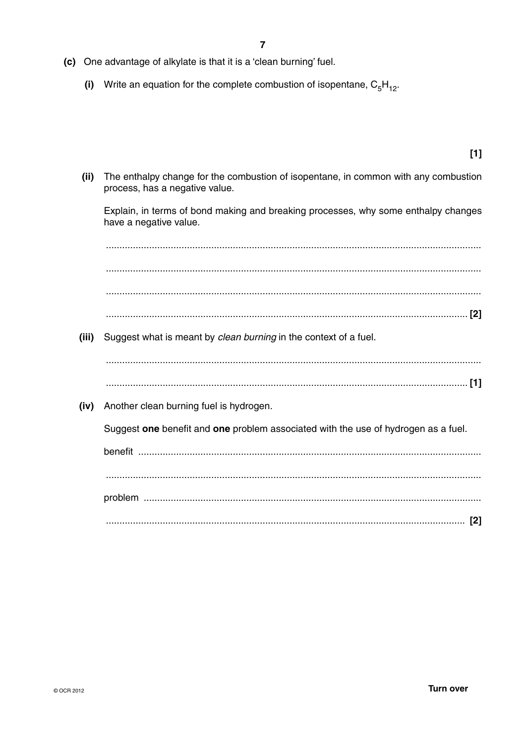- (c) One advantage of alkylate is that it is a 'clean burning' fuel.
	- (i) Write an equation for the complete combustion of isopentane,  $C_5H_{12}$ .

- $[1]$
- The enthalpy change for the combustion of isopentane, in common with any combustion  $(ii)$ process, has a negative value.

Explain, in terms of bond making and breaking processes, why some enthalpy changes have a negative value.

(iii) Suggest what is meant by clean burning in the context of a fuel. (iv) Another clean burning fuel is hydrogen. Suggest one benefit and one problem associated with the use of hydrogen as a fuel.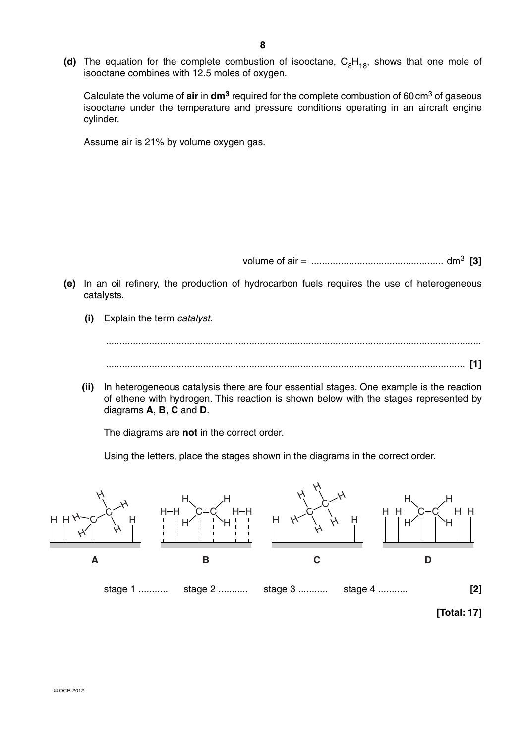Calculate the volume of **air** in **dm3** required for the complete combustion of 60 cm3 of gaseous isooctane under the temperature and pressure conditions operating in an aircraft engine cylinder.

Assume air is 21% by volume oxygen gas.

volume of air = ................................................. dm3 **[3]**

- **(e)** In an oil refinery, the production of hydrocarbon fuels requires the use of heterogeneous catalysts.
	- **(i)** Explain the term *catalyst*.

 ........................................................................................................................................... ..................................................................................................................................... **[1]**

 **(ii)** In heterogeneous catalysis there are four essential stages. One example is the reaction of ethene with hydrogen. This reaction is shown below with the stages represented by diagrams **A**, **B**, **C** and **D**.

The diagrams are **not** in the correct order.

Using the letters, place the stages shown in the diagrams in the correct order.

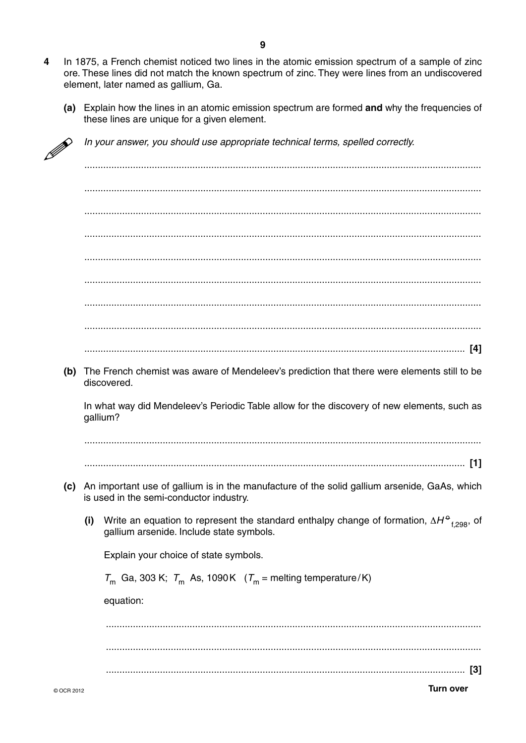- $\overline{\mathbf{4}}$ In 1875, a French chemist noticed two lines in the atomic emission spectrum of a sample of zinc ore. These lines did not match the known spectrum of zinc. They were lines from an undiscovered element, later named as gallium, Ga.
	- (a) Explain how the lines in an atomic emission spectrum are formed and why the frequencies of these lines are unique for a given element.

|     | In your answer, you should use appropriate technical terms, spelled correctly.                                                                                                                                                                                                                            |
|-----|-----------------------------------------------------------------------------------------------------------------------------------------------------------------------------------------------------------------------------------------------------------------------------------------------------------|
|     |                                                                                                                                                                                                                                                                                                           |
|     |                                                                                                                                                                                                                                                                                                           |
|     |                                                                                                                                                                                                                                                                                                           |
|     |                                                                                                                                                                                                                                                                                                           |
|     |                                                                                                                                                                                                                                                                                                           |
|     |                                                                                                                                                                                                                                                                                                           |
|     |                                                                                                                                                                                                                                                                                                           |
| (b) | The French chemist was aware of Mendeleev's prediction that there were elements still to be                                                                                                                                                                                                               |
|     |                                                                                                                                                                                                                                                                                                           |
|     | discovered.                                                                                                                                                                                                                                                                                               |
|     | gallium?                                                                                                                                                                                                                                                                                                  |
|     |                                                                                                                                                                                                                                                                                                           |
| (c) | is used in the semi-conductor industry.                                                                                                                                                                                                                                                                   |
| (i) | gallium arsenide. Include state symbols.                                                                                                                                                                                                                                                                  |
|     | Explain your choice of state symbols.                                                                                                                                                                                                                                                                     |
|     | $T_m$ Ga, 303 K; $T_m$ As, 1090 K ( $T_m$ = melting temperature/K)                                                                                                                                                                                                                                        |
|     | equation:                                                                                                                                                                                                                                                                                                 |
|     |                                                                                                                                                                                                                                                                                                           |
|     | In what way did Mendeleev's Periodic Table allow for the discovery of new elements, such as<br>An important use of gallium is in the manufacture of the solid gallium arsenide, GaAs, which<br>Write an equation to represent the standard enthalpy change of formation, $\Delta H^{\Theta}_{f,298}$ , of |
|     |                                                                                                                                                                                                                                                                                                           |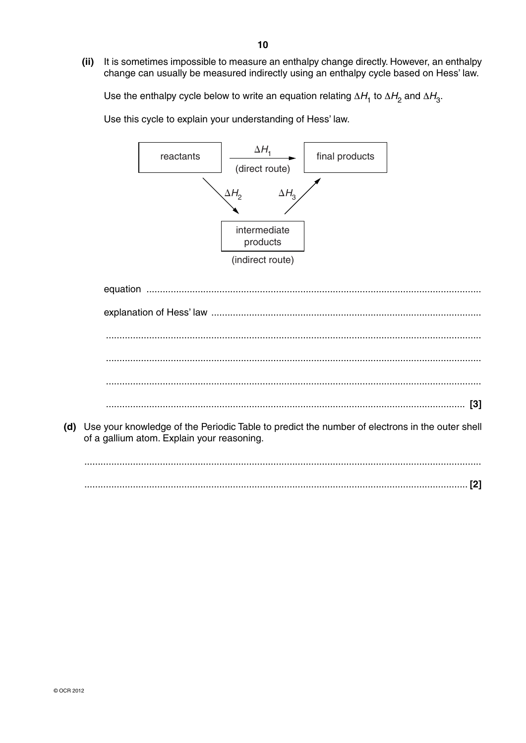**(ii)** It is sometimes impossible to measure an enthalpy change directly. However, an enthalpy change can usually be measured indirectly using an enthalpy cycle based on Hess' law.

Use the enthalpy cycle below to write an equation relating  $\Delta H_1$  to  $\Delta H_2$  and  $\Delta H_3$ .

Use this cycle to explain your understanding of Hess' law.



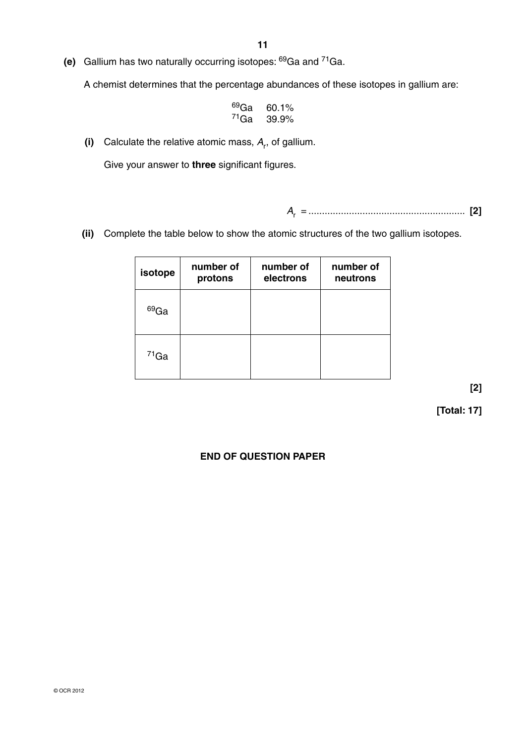**(e)** Gallium has two naturally occurring isotopes: 69Ga and 71Ga.

A chemist determines that the percentage abundances of these isotopes in gallium are:

| <sup>69</sup> Ga | 60.1% |
|------------------|-------|
| $71$ Ga          | 39.9% |

 $(i)$  Calculate the relative atomic mass,  $A_r$ , of gallium.

Give your answer to **three** significant figures.

*A*r = .......................................................... **[2]**

 **(ii)** Complete the table below to show the atomic structures of the two gallium isotopes.

| isotope    | number of<br>protons | number of<br>electrons | number of<br>neutrons |
|------------|----------------------|------------------------|-----------------------|
| $^{69}$ Ga |                      |                        |                       |
| $71$ Ga    |                      |                        |                       |

**[2]**

 **[Total: 17]**

# **END OF QUESTION PAPER**